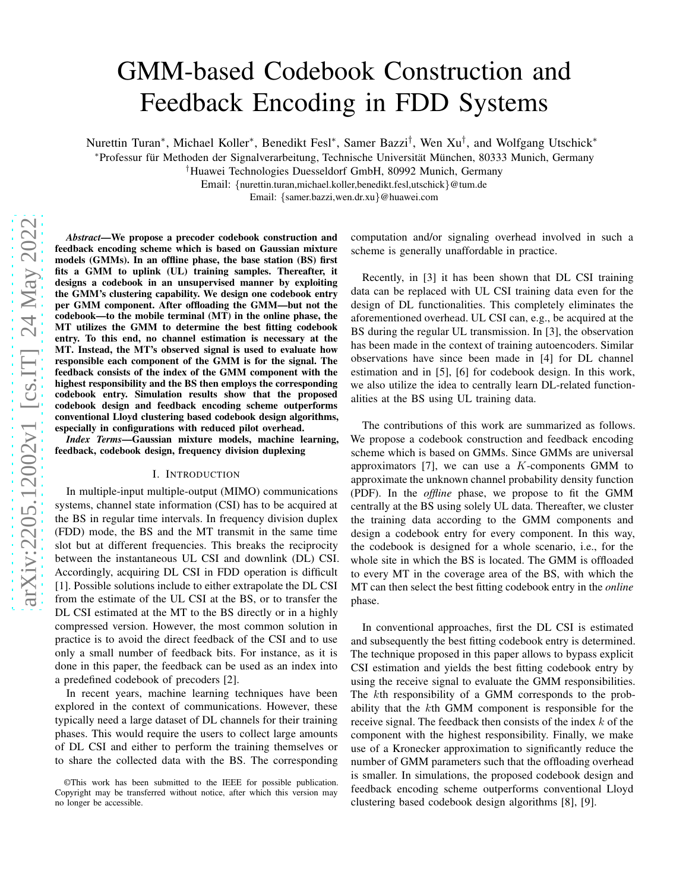# GMM-based Codebook Construction and Feedback Encoding in FDD Systems

Nurettin Turan\*, Michael Koller\*, Benedikt Fesl\*, Samer Bazzi<sup>†</sup>, Wen Xu<sup>†</sup>, and Wolfgang Utschick\*

\*Professur für Methoden der Signalverarbeitung, Technische Universität München, 80333 Munich, Germany

†Huawei Technologies Duesseldorf GmbH, 80992 Munich, Germany

Email: {nurettin.turan,michael.koller,benedikt.fesl,utschick}@tum.de

Email: {samer.bazzi,wen.dr.xu}@huawei.com

*Abstract*—We propose a precoder codebook construction and feedback encoding scheme which is based on Gaussian mixture models (GMMs). In an offline phase, the base station (BS) first fits a GMM to uplink (UL) training samples. Thereafter, it designs a codebook in an unsupervised manner by exploiting the GMM's clustering capability. We design one codebook entry per GMM component. After offloading the GMM—but not the codebook—to the mobile terminal (MT) in the online phase, the MT utilizes the GMM to determine the best fitting codebook entry. To this end, no channel estimation is necessary at the MT. Instead, the MT's observed signal is used to evaluate how responsible each component of the GMM is for the signal. The feedback consists of the index of the GMM component with the highest responsibility and the BS then employs the corresponding codebook entry. Simulation results show that the proposed codebook design and feedback encoding scheme outperforms conventional Lloyd clustering based codebook design algorithms, especially in configurations with reduced pilot overhead.

*Index Terms*—Gaussian mixture models, machine learning, feedback, codebook design, frequency division duplexing

#### I. INTRODUCTION

In multiple-input multiple-output (MIMO) communications systems, channel state information (CSI) has to be acquired at the BS in regular time intervals. In frequency division duplex (FDD) mode, the BS and the MT transmit in the same time slot but at different frequencies. This breaks the reciprocity between the instantaneous UL CSI and downlink (DL) CSI. Accordingly, acquiring DL CSI in FDD operation is difficult [1]. Possible solutions include to either extrapolate the DL CSI from the estimate of the UL CSI at the BS, or to transfer the DL CSI estimated at the MT to the BS directly or in a highly compressed version. However, the most common solution in practice is to avoid the direct feedback of the CSI and to use only a small number of feedback bits. For instance, as it is done in this paper, the feedback can be used as an index into a predefined codebook of precoders [2].

In recent years, machine learning techniques have been explored in the context of communications. However, these typically need a large dataset of DL channels for their training phases. This would require the users to collect large amounts of DL CSI and either to perform the training themselves or to share the collected data with the BS. The corresponding computation and/or signaling overhead involved in such a scheme is generally unaffordable in practice.

Recently, in [3] it has been shown that DL CSI training data can be replaced with UL CSI training data even for the design of DL functionalities. This completely eliminates the aforementioned overhead. UL CSI can, e.g., be acquired at the BS during the regular UL transmission. In [3], the observation has been made in the context of training autoencoders. Similar observations have since been made in [4] for DL channel estimation and in [5], [6] for codebook design. In this work, we also utilize the idea to centrally learn DL-related functionalities at the BS using UL training data.

The contributions of this work are summarized as follows. We propose a codebook construction and feedback encoding scheme which is based on GMMs. Since GMMs are universal approximators  $[7]$ , we can use a K-components GMM to approximate the unknown channel probability density function (PDF). In the *offline* phase, we propose to fit the GMM centrally at the BS using solely UL data. Thereafter, we cluster the training data according to the GMM components and design a codebook entry for every component. In this way, the codebook is designed for a whole scenario, i.e., for the whole site in which the BS is located. The GMM is offloaded to every MT in the coverage area of the BS, with which the MT can then select the best fitting codebook entry in the *online* phase.

In conventional approaches, first the DL CSI is estimated and subsequently the best fitting codebook entry is determined. The technique proposed in this paper allows to bypass explicit CSI estimation and yields the best fitting codebook entry by using the receive signal to evaluate the GMM responsibilities. The kth responsibility of a GMM corresponds to the probability that the kth GMM component is responsible for the receive signal. The feedback then consists of the index  $k$  of the component with the highest responsibility. Finally, we make use of a Kronecker approximation to significantly reduce the number of GMM parameters such that the offloading overhead is smaller. In simulations, the proposed codebook design and feedback encoding scheme outperforms conventional Lloyd clustering based codebook design algorithms [8], [9].

<sup>©</sup>This work has been submitted to the IEEE for possible publication. Copyright may be transferred without notice, after which this version may no longer be accessible.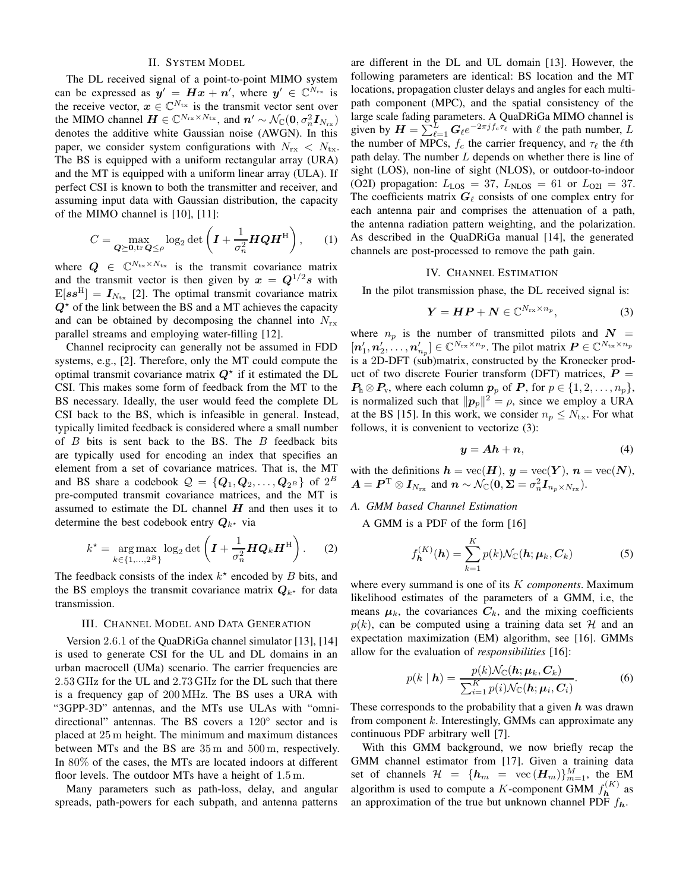### II. SYSTEM MODEL

The DL received signal of a point-to-point MIMO system can be expressed as  $y' = Hx + n'$ , where  $y' \in \mathbb{C}^{N_{\text{rx}}}$  is the receive vector,  $x \in \mathbb{C}^{N_{\text{tx}}}$  is the transmit vector sent over the MIMO channel  $\mathbf{H} \in \mathbb{C}^{N_{\text{rx}} \times N_{\text{tx}}}$ , and  $\mathbf{n}' \sim \mathcal{N}_{\mathbb{C}}(\mathbf{0}, \sigma_n^2 \mathbf{I}_{N_{\text{rx}}})$ denotes the additive white Gaussian noise (AWGN). In this paper, we consider system configurations with  $N_{rx} < N_{tx}$ . The BS is equipped with a uniform rectangular array (URA) and the MT is equipped with a uniform linear array (ULA). If perfect CSI is known to both the transmitter and receiver, and assuming input data with Gaussian distribution, the capacity of the MIMO channel is [10], [11]:

$$
C = \max_{\mathbf{Q} \succeq \mathbf{0}, \text{tr}\, \mathbf{Q} \leq \rho} \log_2 \det \left( \mathbf{I} + \frac{1}{\sigma_n^2} \mathbf{H} \mathbf{Q} \mathbf{H}^{\text{H}} \right), \qquad (1)
$$

where  $Q \in \mathbb{C}^{N_{\text{tx}} \times N_{\text{tx}}}$  is the transmit covariance matrix and the transmit vector is then given by  $x = Q^{1/2} s$  with  $E[ss^H] = I_{N_{\text{tx}}}$  [2]. The optimal transmit covariance matrix  $Q^*$  of the link between the BS and a MT achieves the capacity and can be obtained by decomposing the channel into  $N_{rx}$ parallel streams and employing water-filling [12].

Channel reciprocity can generally not be assumed in FDD systems, e.g., [2]. Therefore, only the MT could compute the optimal transmit covariance matrix  $Q^*$  if it estimated the DL CSI. This makes some form of feedback from the MT to the BS necessary. Ideally, the user would feed the complete DL CSI back to the BS, which is infeasible in general. Instead, typically limited feedback is considered where a small number of  $B$  bits is sent back to the BS. The  $B$  feedback bits are typically used for encoding an index that specifies an element from a set of covariance matrices. That is, the MT and BS share a codebook  $\mathcal{Q} = \{\boldsymbol{Q}_1, \boldsymbol{Q}_2, \dots, \boldsymbol{Q}_{2^B}\}$  of  $2^B$ pre-computed transmit covariance matrices, and the MT is assumed to estimate the DL channel  $H$  and then uses it to determine the best codebook entry  $Q_{k^*}$  via

$$
k^* = \underset{k \in \{1, \ldots, 2^B\}}{\arg \max} \log_2 \det \left( \boldsymbol{I} + \frac{1}{\sigma_n^2} \boldsymbol{H} \boldsymbol{Q}_k \boldsymbol{H}^{\mathrm{H}} \right). \tag{2}
$$

The feedback consists of the index  $k^*$  encoded by  $B$  bits, and the BS employs the transmit covariance matrix  $Q_{k^*}$  for data transmission.

#### III. CHANNEL MODEL AND DATA GENERATION

Version 2.6.1 of the QuaDRiGa channel simulator [13], [14] is used to generate CSI for the UL and DL domains in an urban macrocell (UMa) scenario. The carrier frequencies are 2.53 GHz for the UL and 2.73 GHz for the DL such that there is a frequency gap of 200 MHz. The BS uses a URA with "3GPP-3D" antennas, and the MTs use ULAs with "omnidirectional" antennas. The BS covers a 120° sector and is placed at 25 m height. The minimum and maximum distances between MTs and the BS are 35 m and 500 m, respectively. In 80% of the cases, the MTs are located indoors at different floor levels. The outdoor MTs have a height of 1.5 m.

Many parameters such as path-loss, delay, and angular spreads, path-powers for each subpath, and antenna patterns are different in the DL and UL domain [13]. However, the following parameters are identical: BS location and the MT locations, propagation cluster delays and angles for each multipath component (MPC), and the spatial consistency of the large scale fading parameters. A QuaDRiGa MIMO channel is given by  $\mathbf{H} = \sum_{\ell=1}^{L} \mathbf{G}_{\ell} e^{-2\pi j f_c \tau_{\ell}}$  with  $\ell$  the path number, L the number of MPCs,  $f_c$  the carrier frequency, and  $\tau_\ell$  the  $\ell$ th path delay. The number L depends on whether there is line of sight (LOS), non-line of sight (NLOS), or outdoor-to-indoor (O2I) propagation:  $L_{\text{LOS}} = 37$ ,  $L_{\text{NLOS}} = 61$  or  $L_{\text{O2I}} = 37$ . The coefficients matrix  $G_{\ell}$  consists of one complex entry for each antenna pair and comprises the attenuation of a path, the antenna radiation pattern weighting, and the polarization. As described in the QuaDRiGa manual [14], the generated channels are post-processed to remove the path gain.

#### IV. CHANNEL ESTIMATION

In the pilot transmission phase, the DL received signal is:

$$
Y = HP + N \in \mathbb{C}^{N_{\text{rx}} \times n_p},\tag{3}
$$

where  $n_p$  is the number of transmitted pilots and  $N =$  $[n'_1, n'_2, \ldots, n'_{n_p}] \in \mathbb{C}^{N_{\text{rx}} \times n_p}$ . The pilot matrix  $P \in \mathbb{C}^{N_{\text{tx}} \times n_p}$ is a 2D-DFT (sub)matrix, constructed by the Kronecker product of two discrete Fourier transform (DFT) matrices,  $P =$  $P_h \otimes P_v$ , where each column  $p_p$  of P, for  $p \in \{1, 2, \ldots, n_p\}$ , is normalized such that  $||p_p||^2 = \rho$ , since we employ a URA at the BS [15]. In this work, we consider  $n_p \leq N_{\text{tx}}$ . For what follows, it is convenient to vectorize (3):

$$
y = Ah + n,\tag{4}
$$

with the definitions  $h = \text{vec}(\boldsymbol{H}), y = \text{vec}(\boldsymbol{Y}), n = \text{vec}(\boldsymbol{N}),$  $\boldsymbol{A} = \boldsymbol{P}^{\mathrm{T}} \otimes \boldsymbol{I}_{N_{\mathrm{rx}}}$  and  $\boldsymbol{n} \sim \mathcal{N}_{\mathbb{C}}(\boldsymbol{0},\boldsymbol{\Sigma} = \sigma_n^2 \boldsymbol{I}_{n_p \times N_{\mathrm{rx}}}).$ 

# *A. GMM based Channel Estimation*

A GMM is a PDF of the form [16]

$$
f_{\boldsymbol{h}}^{(K)}(\boldsymbol{h}) = \sum_{k=1}^{K} p(k) \mathcal{N}_{\mathbb{C}}(\boldsymbol{h}; \boldsymbol{\mu}_k, \boldsymbol{C}_k)
$$
(5)

where every summand is one of its K *components*. Maximum likelihood estimates of the parameters of a GMM, i.e, the means  $\mu_k$ , the covariances  $C_k$ , and the mixing coefficients  $p(k)$ , can be computed using a training data set H and an expectation maximization (EM) algorithm, see [16]. GMMs allow for the evaluation of *responsibilities* [16]:

$$
p(k \mid \boldsymbol{h}) = \frac{p(k) \mathcal{N}_{\mathbb{C}}(\boldsymbol{h}; \boldsymbol{\mu}_k, \boldsymbol{C}_k)}{\sum_{i=1}^K p(i) \mathcal{N}_{\mathbb{C}}(\boldsymbol{h}; \boldsymbol{\mu}_i, \boldsymbol{C}_i)}.
$$
(6)

These corresponds to the probability that a given  $h$  was drawn from component  $k$ . Interestingly, GMMs can approximate any continuous PDF arbitrary well [7].

With this GMM background, we now briefly recap the GMM channel estimator from [17]. Given a training data set of channels  $\mathcal{H} = \{h_m = \text{vec}(\mathbf{H}_m)\}_{m=1}^M$ , the EM algorithm is used to compute a K-component GMM  $f_{\mathbf{h}}^{(K)}$  as an approximation of the true but unknown channel PDF  $f_h$ .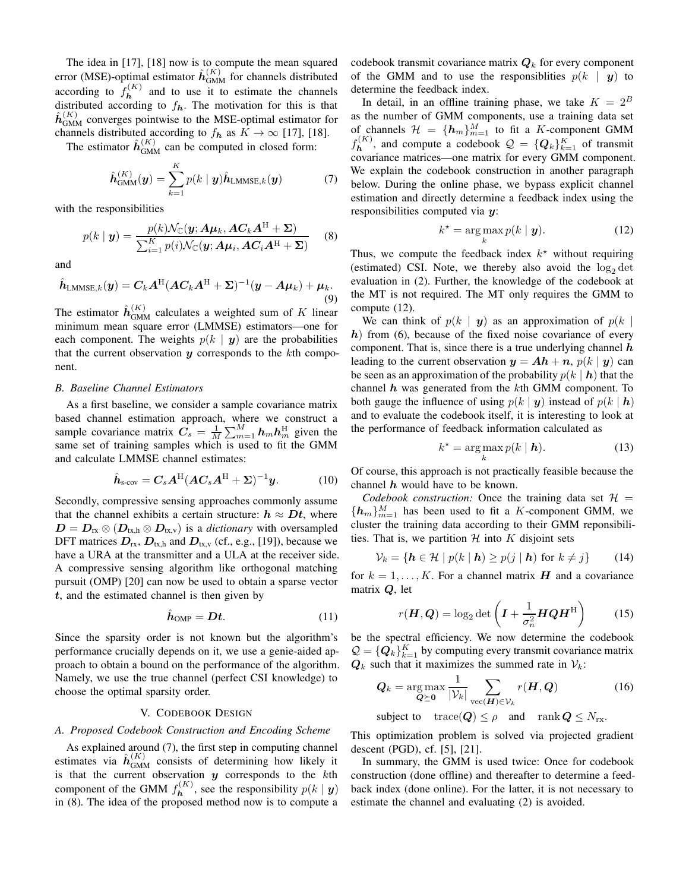The idea in [17], [18] now is to compute the mean squared error (MSE)-optimal estimator  $\hat{h}_{\text{GMM}}^{(K)}$  for channels distributed according to  $f_{\mathbf{h}}^{(K)}$  and to use it to estimate the channels distributed according to  $f_h$ . The motivation for this is that  $\hat{h}^{(K)}_{\text{GMM}}$  converges pointwise to the MSE-optimal estimator for channels distributed according to  $f_h$  as  $K \to \infty$  [17], [18].

The estimator  $\hat{h}_{GMM}^{(K)}$  can be computed in closed form:

$$
\hat{\boldsymbol{h}}_{\text{GMM}}^{(K)}(\boldsymbol{y}) = \sum_{k=1}^{K} p(k \mid \boldsymbol{y}) \hat{\boldsymbol{h}}_{\text{LMMSE},k}(\boldsymbol{y}) \tag{7}
$$

with the responsibilities

$$
p(k \mid \boldsymbol{y}) = \frac{p(k)\mathcal{N}_{\mathbb{C}}(\boldsymbol{y}; \boldsymbol{A}\boldsymbol{\mu}_k, \boldsymbol{A}\boldsymbol{C}_k\boldsymbol{A}^{\mathrm{H}} + \boldsymbol{\Sigma})}{\sum_{i=1}^K p(i)\mathcal{N}_{\mathbb{C}}(\boldsymbol{y}; \boldsymbol{A}\boldsymbol{\mu}_i, \boldsymbol{A}\boldsymbol{C}_i\boldsymbol{A}^{\mathrm{H}} + \boldsymbol{\Sigma})}
$$
(8)

and

$$
\hat{\boldsymbol{h}}_{\text{LMMSE},k}(\boldsymbol{y}) = \boldsymbol{C}_k \boldsymbol{A}^{\text{H}} (\boldsymbol{A}\boldsymbol{C}_k \boldsymbol{A}^{\text{H}} + \boldsymbol{\Sigma})^{-1} (\boldsymbol{y} - \boldsymbol{A}\boldsymbol{\mu}_k) + \boldsymbol{\mu}_k. \tag{9}
$$

The estimator  $\hat{h}_{\text{GMM}}^{(K)}$  calculates a weighted sum of K linear minimum mean square error (LMMSE) estimators—one for each component. The weights  $p(k | y)$  are the probabilities that the current observation  $y$  corresponds to the  $k$ th component.

#### *B. Baseline Channel Estimators*

As a first baseline, we consider a sample covariance matrix based channel estimation approach, where we construct a sample covariance matrix  $\mathbf{C}_s = \frac{1}{M} \sum_{m=1}^{M} \mathbf{h}_m \mathbf{h}_m^{\text{H}}$  given the same set of training samples which is used to fit the GMM and calculate LMMSE channel estimates:

$$
\hat{\boldsymbol{h}}_{\text{s-cov}} = \boldsymbol{C}_s \boldsymbol{A}^{\text{H}} (\boldsymbol{A} \boldsymbol{C}_s \boldsymbol{A}^{\text{H}} + \boldsymbol{\Sigma})^{-1} \boldsymbol{y}.
$$
 (10)

Secondly, compressive sensing approaches commonly assume that the channel exhibits a certain structure:  $h \approx Dt$ , where  $D = D_{rx} \otimes (D_{tx,h} \otimes D_{tx,v})$  is a *dictionary* with oversampled DFT matrices  $D_{rx}$ ,  $D_{tx,h}$  and  $D_{tx,v}$  (cf., e.g., [19]), because we have a URA at the transmitter and a ULA at the receiver side. A compressive sensing algorithm like orthogonal matching pursuit (OMP) [20] can now be used to obtain a sparse vector  $t$ , and the estimated channel is then given by

$$
\hat{h}_{\text{OMP}} = Dt. \tag{11}
$$

Since the sparsity order is not known but the algorithm's performance crucially depends on it, we use a genie-aided approach to obtain a bound on the performance of the algorithm. Namely, we use the true channel (perfect CSI knowledge) to choose the optimal sparsity order.

### V. CODEBOOK DESIGN

#### *A. Proposed Codebook Construction and Encoding Scheme*

As explained around (7), the first step in computing channel estimates via  $\hat{h}_{\text{GMM}}^{(K)}$  consists of determining how likely it is that the current observation  $y$  corresponds to the  $k$ th component of the GMM  $f_{\mathbf{h}}^{(K)}$ , see the responsibility  $p(k \mid \mathbf{y})$ in (8). The idea of the proposed method now is to compute a

codebook transmit covariance matrix  $Q_k$  for every component of the GMM and to use the responsibilities  $p(k | y)$  to determine the feedback index.

In detail, in an offline training phase, we take  $K = 2^B$ as the number of GMM components, use a training data set of channels  $\mathcal{H} = \{h_m\}_{m=1}^M$  to fit a K-component GMM  $f_{\mathbf{h}}^{(K)}$ , and compute a codebook  $\mathcal{Q} = \{Q_k\}_{k=1}^K$  of transmit covariance matrices—one matrix for every GMM component. We explain the codebook construction in another paragraph below. During the online phase, we bypass explicit channel estimation and directly determine a feedback index using the responsibilities computed via y:

$$
k^* = \arg\max_k p(k \mid \mathbf{y}).\tag{12}
$$

Thus, we compute the feedback index  $k^*$  without requiring (estimated) CSI. Note, we thereby also avoid the  $log_2 det$ evaluation in (2). Further, the knowledge of the codebook at the MT is not required. The MT only requires the GMM to compute (12).

We can think of  $p(k | y)$  as an approximation of  $p(k |$  $h)$  from (6), because of the fixed noise covariance of every component. That is, since there is a true underlying channel  $h$ leading to the current observation  $y = Ah + n$ ,  $p(k | y)$  can be seen as an approximation of the probability  $p(k | h)$  that the channel  $h$  was generated from the  $k$ th GMM component. To both gauge the influence of using  $p(k | y)$  instead of  $p(k | h)$ and to evaluate the codebook itself, it is interesting to look at the performance of feedback information calculated as

$$
k^* = \underset{k}{\arg\max} \, p(k \mid \mathbf{h}). \tag{13}
$$

Of course, this approach is not practically feasible because the channel  $h$  would have to be known.

*Codebook construction:* Once the training data set  $H =$  ${h_m}_{m=1}^M$  has been used to fit a K-component GMM, we cluster the training data according to their GMM reponsibilities. That is, we partition  $H$  into  $K$  disjoint sets

$$
\mathcal{V}_k = \{ \mathbf{h} \in \mathcal{H} \mid p(k \mid \mathbf{h}) \ge p(j \mid \mathbf{h}) \text{ for } k \neq j \} \tag{14}
$$

for  $k = 1, \ldots, K$ . For a channel matrix H and a covariance matrix Q, let

$$
r(\boldsymbol{H}, \boldsymbol{Q}) = \log_2 \det \left( \boldsymbol{I} + \frac{1}{\sigma_n^2} \boldsymbol{H} \boldsymbol{Q} \boldsymbol{H}^{\mathrm{H}} \right) \tag{15}
$$

be the spectral efficiency. We now determine the codebook  $\mathcal{Q} = \{Q_k\}_{k=1}^K$  by computing every transmit covariance matrix  $Q_k$  such that it maximizes the summed rate in  $V_k$ :

$$
\mathbf{Q}_k = \underset{\mathbf{Q} \succeq \mathbf{0}}{\arg \max} \frac{1}{|\mathcal{V}_k|} \sum_{\text{vec}(\mathbf{H}) \in \mathcal{V}_k} r(\mathbf{H}, \mathbf{Q}) \tag{16}
$$

subject to 
$$
trace(Q) \leq \rho
$$
 and  $rank Q \leq N_{rx}$ .

This optimization problem is solved via projected gradient descent (PGD), cf. [5], [21].

In summary, the GMM is used twice: Once for codebook construction (done offline) and thereafter to determine a feedback index (done online). For the latter, it is not necessary to estimate the channel and evaluating (2) is avoided.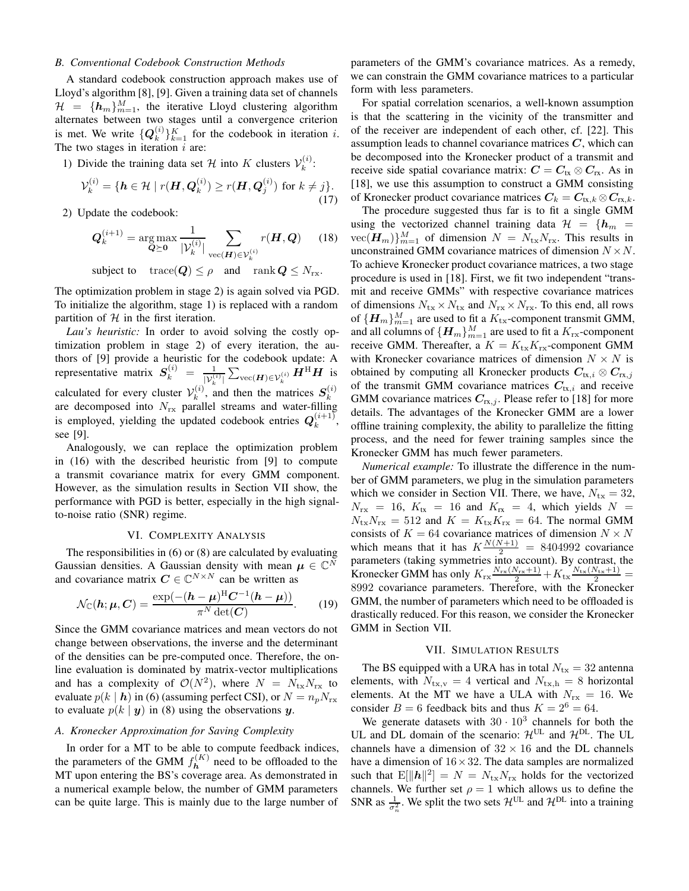### *B. Conventional Codebook Construction Methods*

A standard codebook construction approach makes use of Lloyd's algorithm [8], [9]. Given a training data set of channels  $\mathcal{H} = \{\mathbf{h}_m\}_{m=1}^M$ , the iterative Lloyd clustering algorithm alternates between two stages until a convergence criterion is met. We write  $\{ \boldsymbol{Q}_k^{(i)} \}$  ${k \choose k}_{k=1}^K$  for the codebook in iteration *i*. The two stages in iteration  $i$  are:

1) Divide the training data set H into K clusters  $\mathcal{V}_k^{(i)}$  $\binom{v}{k}$ :

$$
\mathcal{V}_k^{(i)} = \{ \mathbf{h} \in \mathcal{H} \mid r(\mathbf{H}, \mathbf{Q}_k^{(i)}) \ge r(\mathbf{H}, \mathbf{Q}_j^{(i)}) \text{ for } k \ne j \}. \tag{17}
$$

2) Update the codebook:

$$
\mathbf{Q}_k^{(i+1)} = \underset{\mathbf{Q} \succeq \mathbf{0}}{\arg \max} \frac{1}{|\mathcal{V}_k^{(i)}|} \sum_{\text{vec}(\mathbf{H}) \in \mathcal{V}_k^{(i)}} r(\mathbf{H}, \mathbf{Q}) \qquad (18)
$$

subject to  $\text{trace}(\mathbf{Q}) \leq \rho$  and  $\text{rank} \mathbf{Q} \leq N_{\text{rx}}$ .

The optimization problem in stage 2) is again solved via PGD. To initialize the algorithm, stage 1) is replaced with a random partition of  $H$  in the first iteration.

*Lau's heuristic:* In order to avoid solving the costly optimization problem in stage 2) of every iteration, the authors of [9] provide a heuristic for the codebook update: A representative matrix  $S_k^{(i)} = \frac{1}{|\mathcal{V}_k^{(i)}|} \sum_{\text{vec}(\boldsymbol{H}) \in \mathcal{V}_k^{(i)}} \boldsymbol{H}^{\text{H}} \boldsymbol{H}$  is calculated for every cluster  $V_k^{(i)}$ , a  $s_k^{(i)}$ , and then the matrices  $S_k^{(i)}$ calculated for every ensuch  $v_k$ , and then the matrices  $D_k$ <br>are decomposed into  $N_{rx}$  parallel streams and water-filling is employed, yielding the updated codebook entries  $Q_k^{(i+1)}$  $\binom{i+1}{k}$ , see [9].

Analogously, we can replace the optimization problem in (16) with the described heuristic from [9] to compute a transmit covariance matrix for every GMM component. However, as the simulation results in Section VII show, the performance with PGD is better, especially in the high signalto-noise ratio (SNR) regime.

#### VI. COMPLEXITY ANALYSIS

The responsibilities in (6) or (8) are calculated by evaluating Gaussian densities. A Gaussian density with mean  $\boldsymbol{\mu} \in \mathbb{C}^N$ and covariance matrix  $C \in \mathbb{C}^{N \times N}$  can be written as

$$
\mathcal{N}_{\mathbb{C}}(\boldsymbol{h};\boldsymbol{\mu},\boldsymbol{C})=\frac{\exp(-(h-\boldsymbol{\mu})^{\mathrm{H}}\boldsymbol{C}^{-1}(\boldsymbol{h}-\boldsymbol{\mu}))}{\pi^N\det(\boldsymbol{C})}.
$$
 (19)

Since the GMM covariance matrices and mean vectors do not change between observations, the inverse and the determinant of the densities can be pre-computed once. Therefore, the online evaluation is dominated by matrix-vector multiplications and has a complexity of  $\mathcal{O}(N^2)$ , where  $N = N_{\text{tx}}N_{\text{rx}}$  to evaluate  $p(k | h)$  in (6) (assuming perfect CSI), or  $N = n_p N_{rx}$ to evaluate  $p(k | y)$  in (8) using the observations y.

## *A. Kronecker Approximation for Saving Complexity*

In order for a MT to be able to compute feedback indices, the parameters of the GMM  $f_{\mathbf{h}}^{(K)}$  $h^{(R)}$  need to be offloaded to the MT upon entering the BS's coverage area. As demonstrated in a numerical example below, the number of GMM parameters can be quite large. This is mainly due to the large number of parameters of the GMM's covariance matrices. As a remedy, we can constrain the GMM covariance matrices to a particular form with less parameters.

For spatial correlation scenarios, a well-known assumption is that the scattering in the vicinity of the transmitter and of the receiver are independent of each other, cf. [22]. This assumption leads to channel covariance matrices  $C$ , which can be decomposed into the Kronecker product of a transmit and receive side spatial covariance matrix:  $C = C_{tx} \otimes C_{rx}$ . As in [18], we use this assumption to construct a GMM consisting of Kronecker product covariance matrices  $C_k = C_{tx,k} \otimes C_{rx,k}$ .

The procedure suggested thus far is to fit a single GMM using the vectorized channel training data  $\mathcal{H} = \{h_m =$  $\text{vec}(\boldsymbol{H}_{m})\}_{m=1}^{M}$  of dimension  $N = N_{\text{tx}}N_{\text{rx}}$ . This results in unconstrained GMM covariance matrices of dimension  $N \times N$ . To achieve Kronecker product covariance matrices, a two stage procedure is used in [18]. First, we fit two independent "transmit and receive GMMs" with respective covariance matrices of dimensions  $N_{\text{tx}} \times N_{\text{tx}}$  and  $N_{\text{rx}} \times N_{\text{rx}}$ . To this end, all rows of  $\{\boldsymbol{H}_m\}_{m=1}^M$  are used to fit a  $K_{\mathrm{tx}}$ -component transmit GMM, and all columns of  $\{\boldsymbol{H}_m\}_{m=1}^M$  are used to fit a  $K_{\text{rx}}$ -component receive GMM. Thereafter, a  $K = K_{\text{tx}}K_{\text{rx}}$ -component GMM with Kronecker covariance matrices of dimension  $N \times N$  is obtained by computing all Kronecker products  $C_{tx,i} \otimes C_{rx,j}$ of the transmit GMM covariance matrices  $C_{tx,i}$  and receive GMM covariance matrices  $C_{rx,j}$ . Please refer to [18] for more details. The advantages of the Kronecker GMM are a lower offline training complexity, the ability to parallelize the fitting process, and the need for fewer training samples since the Kronecker GMM has much fewer parameters.

*Numerical example:* To illustrate the difference in the number of GMM parameters, we plug in the simulation parameters which we consider in Section VII. There, we have,  $N_{\text{tx}} = 32$ ,  $N_{\text{rx}}$  = 16,  $K_{\text{tx}}$  = 16 and  $K_{\text{rx}}$  = 4, which yields  $N =$  $N_{\text{tx}}N_{\text{rx}} = 512$  and  $K = K_{\text{tx}}K_{\text{rx}} = 64$ . The normal GMM consists of  $K = 64$  covariance matrices of dimension  $N \times N$ which means that it has  $K \frac{N(N+1)}{2} = 8404992$  covariance parameters (taking symmetries into account). By contrast, the Kronecker GMM has only  $K_{rx} \frac{N_{rx}(N_{rx}+1)}{2} + K_{tx} \frac{N_{tx}(N_{tx}+1)}{2} =$ 8992 covariance parameters. Therefore, with the Kronecker GMM, the number of parameters which need to be offloaded is drastically reduced. For this reason, we consider the Kronecker GMM in Section VII.

#### VII. SIMULATION RESULTS

The BS equipped with a URA has in total  $N_{\text{tx}} = 32$  antenna elements, with  $N_{\text{tx,v}} = 4$  vertical and  $N_{\text{tx,h}} = 8$  horizontal elements. At the MT we have a ULA with  $N_{rx} = 16$ . We consider  $B = 6$  feedback bits and thus  $K = 2^6 = 64$ .

We generate datasets with  $30 \cdot 10^3$  channels for both the UL and DL domain of the scenario:  $\mathcal{H}^{UL}$  and  $\mathcal{H}^{DL}$ . The UL channels have a dimension of  $32 \times 16$  and the DL channels have a dimension of  $16 \times 32$ . The data samples are normalized such that  $E[\|\boldsymbol{h}\|^2] = N = N_{\text{tx}}N_{\text{rx}}$  holds for the vectorized channels. We further set  $\rho = 1$  which allows us to define the SNR as  $\frac{1}{\sigma_n^2}$ . We split the two sets  $\mathcal{H}^{\text{UL}}$  and  $\mathcal{H}^{\text{DL}}$  into a training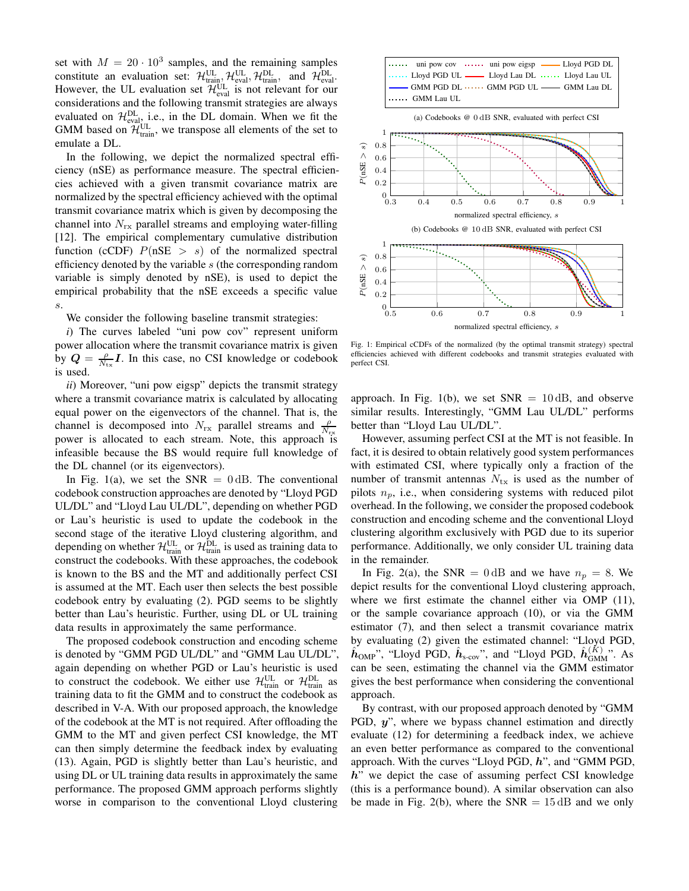set with  $M = 20 \cdot 10^3$  samples, and the remaining samples constitute an evaluation set:  $\mathcal{H}_{\text{train}}^{\text{UL}}, \mathcal{H}_{\text{eval}}^{\text{UL}}, \mathcal{H}_{\text{train}}^{\text{DL}},$  and  $\mathcal{H}_{\text{eval}}^{\text{DL}}$ . However, the UL evaluation set  $\mathcal{H}_{\text{eval}}^{\text{UL}}$  is not relevant for our considerations and the following transmit strategies are always evaluated on  $\mathcal{H}_{eval}^{DL}$ , i.e., in the DL domain. When we fit the GMM based on  $\mathcal{H}_{\text{train}}^{\text{UL}}$ , we transpose all elements of the set to emulate a DL.

In the following, we depict the normalized spectral efficiency (nSE) as performance measure. The spectral efficiencies achieved with a given transmit covariance matrix are normalized by the spectral efficiency achieved with the optimal transmit covariance matrix which is given by decomposing the channel into  $N_{rx}$  parallel streams and employing water-filling [12]. The empirical complementary cumulative distribution function (cCDF)  $P(nSE > s)$  of the normalized spectral efficiency denoted by the variable s (the corresponding random variable is simply denoted by nSE), is used to depict the empirical probability that the nSE exceeds a specific value s.

We consider the following baseline transmit strategies:

*i*) The curves labeled "uni pow cov" represent uniform power allocation where the transmit covariance matrix is given by  $Q = \frac{\rho}{N_{\text{tx}}} I$ . In this case, no CSI knowledge or codebook is used.

*ii*) Moreover, "uni pow eigsp" depicts the transmit strategy where a transmit covariance matrix is calculated by allocating equal power on the eigenvectors of the channel. That is, the channel is decomposed into  $N_{rx}$  parallel streams and  $\frac{\rho}{N_{rx}}$ power is allocated to each stream. Note, this approach is infeasible because the BS would require full knowledge of the DL channel (or its eigenvectors).

In Fig. 1(a), we set the SNR  $= 0$  dB. The conventional codebook construction approaches are denoted by "Lloyd PGD UL/DL" and "Lloyd Lau UL/DL", depending on whether PGD or Lau's heuristic is used to update the codebook in the second stage of the iterative Lloyd clustering algorithm, and depending on whether  $\mathcal{H}_{\text{train}}^{\text{UL}}$  or  $\mathcal{H}_{\text{train}}^{\text{DL}}$  is used as training data to construct the codebooks. With these approaches, the codebook is known to the BS and the MT and additionally perfect CSI is assumed at the MT. Each user then selects the best possible codebook entry by evaluating (2). PGD seems to be slightly better than Lau's heuristic. Further, using DL or UL training data results in approximately the same performance.

The proposed codebook construction and encoding scheme is denoted by "GMM PGD UL/DL" and "GMM Lau UL/DL", again depending on whether PGD or Lau's heuristic is used to construct the codebook. We either use  $\mathcal{H}_{\text{train}}^{\text{UL}}$  or  $\mathcal{H}_{\text{train}}^{\text{DL}}$  as training data to fit the GMM and to construct the codebook as described in V-A. With our proposed approach, the knowledge of the codebook at the MT is not required. After offloading the GMM to the MT and given perfect CSI knowledge, the MT can then simply determine the feedback index by evaluating (13). Again, PGD is slightly better than Lau's heuristic, and using DL or UL training data results in approximately the same performance. The proposed GMM approach performs slightly worse in comparison to the conventional Lloyd clustering





Fig. 1: Empirical cCDFs of the normalized (by the optimal transmit strategy) spectral efficiencies achieved with different codebooks and transmit strategies evaluated with perfect CSI.

approach. In Fig. 1(b), we set  $SNR = 10$  dB, and observe similar results. Interestingly, "GMM Lau UL/DL" performs better than "Lloyd Lau UL/DL".

However, assuming perfect CSI at the MT is not feasible. In fact, it is desired to obtain relatively good system performances with estimated CSI, where typically only a fraction of the number of transmit antennas  $N_{tx}$  is used as the number of pilots  $n_p$ , i.e., when considering systems with reduced pilot overhead. In the following, we consider the proposed codebook construction and encoding scheme and the conventional Lloyd clustering algorithm exclusively with PGD due to its superior performance. Additionally, we only consider UL training data in the remainder.

In Fig. 2(a), the SNR = 0 dB and we have  $n_p = 8$ . We depict results for the conventional Lloyd clustering approach, where we first estimate the channel either via OMP (11), or the sample covariance approach (10), or via the GMM estimator (7), and then select a transmit covariance matrix by evaluating (2) given the estimated channel: "Lloyd PGD,  $\hat{h}_{\text{OMP}}$ ", "Lloyd PGD,  $\hat{h}_{\text{s-cov}}$ ", and "Lloyd PGD,  $\hat{h}_{\text{GMM}}^{(K)}$ ". As can be seen, estimating the channel via the GMM estimator gives the best performance when considering the conventional approach.

By contrast, with our proposed approach denoted by "GMM PGD, y", where we bypass channel estimation and directly evaluate (12) for determining a feedback index, we achieve an even better performance as compared to the conventional approach. With the curves "Lloyd PGD, h", and "GMM PGD,  $h$ " we depict the case of assuming perfect CSI knowledge (this is a performance bound). A similar observation can also be made in Fig. 2(b), where the  $SNR = 15 \text{ dB}$  and we only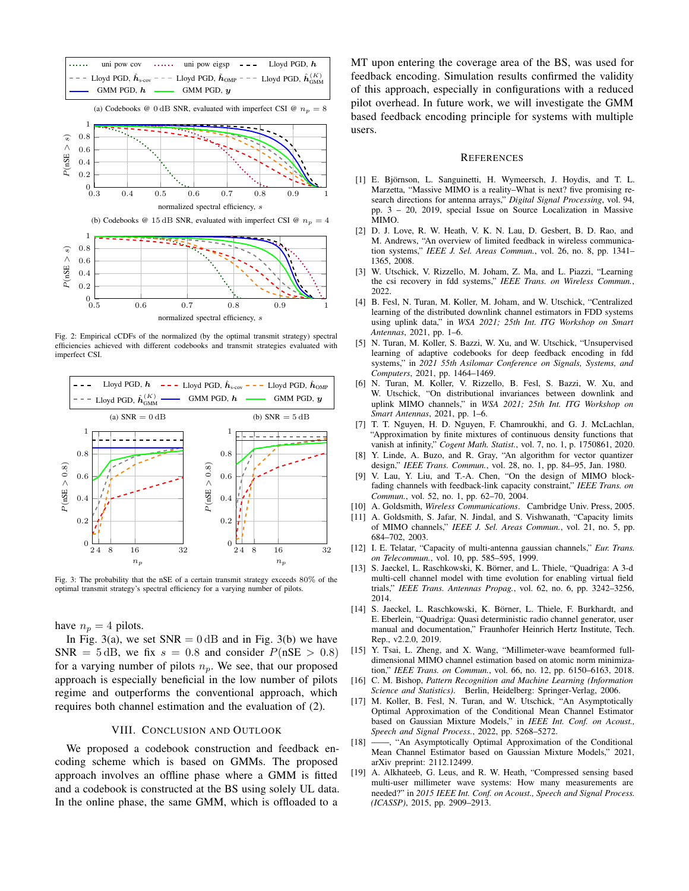

Fig. 2: Empirical cCDFs of the normalized (by the optimal transmit strategy) spectral efficiencies achieved with different codebooks and transmit strategies evaluated with imperfect CSI.



Fig. 3: The probability that the nSE of a certain transmit strategy exceeds 80% of the optimal transmit strategy's spectral efficiency for a varying number of pilots.

have  $n_p = 4$  pilots.

In Fig. 3(a), we set  $SNR = 0$  dB and in Fig. 3(b) we have SNR =  $5 \text{ dB}$ , we fix  $s = 0.8$  and consider  $P(\text{nSE} > 0.8)$ for a varying number of pilots  $n_p$ . We see, that our proposed approach is especially beneficial in the low number of pilots regime and outperforms the conventional approach, which requires both channel estimation and the evaluation of (2).

#### VIII. CONCLUSION AND OUTLOOK

We proposed a codebook construction and feedback encoding scheme which is based on GMMs. The proposed approach involves an offline phase where a GMM is fitted and a codebook is constructed at the BS using solely UL data. In the online phase, the same GMM, which is offloaded to a

MT upon entering the coverage area of the BS, was used for feedback encoding. Simulation results confirmed the validity of this approach, especially in configurations with a reduced pilot overhead. In future work, we will investigate the GMM based feedback encoding principle for systems with multiple users.

#### **REFERENCES**

- [1] E. Björnson, L. Sanguinetti, H. Wymeersch, J. Hoydis, and T. L. Marzetta, "Massive MIMO is a reality–What is next? five promising research directions for antenna arrays," *Digital Signal Processing*, vol. 94, pp. 3 – 20, 2019, special Issue on Source Localization in Massive MIMO.
- [2] D. J. Love, R. W. Heath, V. K. N. Lau, D. Gesbert, B. D. Rao, and M. Andrews, "An overview of limited feedback in wireless communication systems," *IEEE J. Sel. Areas Commun.*, vol. 26, no. 8, pp. 1341– 1365, 2008.
- [3] W. Utschick, V. Rizzello, M. Joham, Z. Ma, and L. Piazzi, "Learning the csi recovery in fdd systems," *IEEE Trans. on Wireless Commun.*, 2022.
- [4] B. Fesl, N. Turan, M. Koller, M. Joham, and W. Utschick, "Centralized learning of the distributed downlink channel estimators in FDD systems using uplink data," in *WSA 2021; 25th Int. ITG Workshop on Smart Antennas*, 2021, pp. 1–6.
- [5] N. Turan, M. Koller, S. Bazzi, W. Xu, and W. Utschick, "Unsupervised learning of adaptive codebooks for deep feedback encoding in fdd systems," in *2021 55th Asilomar Conference on Signals, Systems, and Computers*, 2021, pp. 1464–1469.
- [6] N. Turan, M. Koller, V. Rizzello, B. Fesl, S. Bazzi, W. Xu, and W. Utschick, "On distributional invariances between downlink and uplink MIMO channels," in *WSA 2021; 25th Int. ITG Workshop on Smart Antennas*, 2021, pp. 1–6.
- [7] T. T. Nguyen, H. D. Nguyen, F. Chamroukhi, and G. J. McLachlan, "Approximation by finite mixtures of continuous density functions that vanish at infinity," *Cogent Math. Statist.*, vol. 7, no. 1, p. 1750861, 2020.
- [8] Y. Linde, A. Buzo, and R. Gray, "An algorithm for vector quantizer design," *IEEE Trans. Commun.*, vol. 28, no. 1, pp. 84–95, Jan. 1980.
- [9] V. Lau, Y. Liu, and T.-A. Chen, "On the design of MIMO blockfading channels with feedback-link capacity constraint," *IEEE Trans. on Commun.*, vol. 52, no. 1, pp. 62–70, 2004.
- [10] A. Goldsmith, *Wireless Communications*. Cambridge Univ. Press, 2005.
- [11] A. Goldsmith, S. Jafar, N. Jindal, and S. Vishwanath, "Capacity limits of MIMO channels," *IEEE J. Sel. Areas Commun.*, vol. 21, no. 5, pp. 684–702, 2003.
- [12] I. E. Telatar, "Capacity of multi-antenna gaussian channels," *Eur. Trans. on Telecommun.*, vol. 10, pp. 585–595, 1999.
- [13] S. Jaeckel, L. Raschkowski, K. Börner, and L. Thiele, "Quadriga: A 3-d multi-cell channel model with time evolution for enabling virtual field trials," *IEEE Trans. Antennas Propag.*, vol. 62, no. 6, pp. 3242–3256, 2014.
- [14] S. Jaeckel, L. Raschkowski, K. Börner, L. Thiele, F. Burkhardt, and E. Eberlein, "Quadriga: Quasi deterministic radio channel generator, user manual and documentation," Fraunhofer Heinrich Hertz Institute, Tech. Rep., v2.2.0, 2019.
- [15] Y. Tsai, L. Zheng, and X. Wang, "Millimeter-wave beamformed fulldimensional MIMO channel estimation based on atomic norm minimization," *IEEE Trans. on Commun.*, vol. 66, no. 12, pp. 6150–6163, 2018.
- [16] C. M. Bishop, *Pattern Recognition and Machine Learning (Information Science and Statistics)*. Berlin, Heidelberg: Springer-Verlag, 2006.
- [17] M. Koller, B. Fesl, N. Turan, and W. Utschick, "An Asymptotically Optimal Approximation of the Conditional Mean Channel Estimator based on Gaussian Mixture Models," in *IEEE Int. Conf. on Acoust., Speech and Signal Process.*, 2022, pp. 5268–5272.
- [18] -, "An Asymptotically Optimal Approximation of the Conditional Mean Channel Estimator based on Gaussian Mixture Models," 2021, arXiv preprint: 2112.12499.
- [19] A. Alkhateeb, G. Leus, and R. W. Heath, "Compressed sensing based multi-user millimeter wave systems: How many measurements are needed?" in *2015 IEEE Int. Conf. on Acoust., Speech and Signal Process. (ICASSP)*, 2015, pp. 2909–2913.